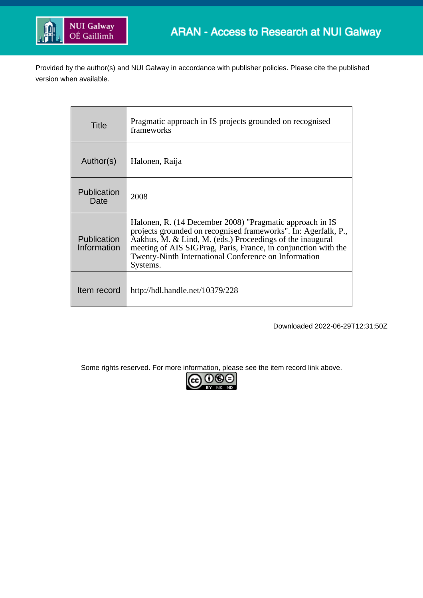

Provided by the author(s) and NUI Galway in accordance with publisher policies. Please cite the published version when available.

| Title                      | Pragmatic approach in IS projects grounded on recognised<br>frameworks                                                                                                                                                                                                                                                        |
|----------------------------|-------------------------------------------------------------------------------------------------------------------------------------------------------------------------------------------------------------------------------------------------------------------------------------------------------------------------------|
| Author(s)                  | Halonen, Raija                                                                                                                                                                                                                                                                                                                |
| Publication<br>Date        | 2008                                                                                                                                                                                                                                                                                                                          |
| Publication<br>Information | Halonen, R. (14 December 2008) "Pragmatic approach in IS<br>projects grounded on recognised frameworks". In: Agerfalk, P.,<br>Aakhus, M. & Lind, M. (eds.) Proceedings of the inaugural<br>meeting of AIS SIGPrag, Paris, France, in conjunction with the<br>Twenty-Ninth International Conference on Information<br>Systems. |
| Item record                | http://hdl.handle.net/10379/228                                                                                                                                                                                                                                                                                               |

Downloaded 2022-06-29T12:31:50Z

Some rights reserved. For more information, please see the item record link above.<br>  $\boxed{\mathbf{cc}} \ \overline{\mathbf{C}}$ 

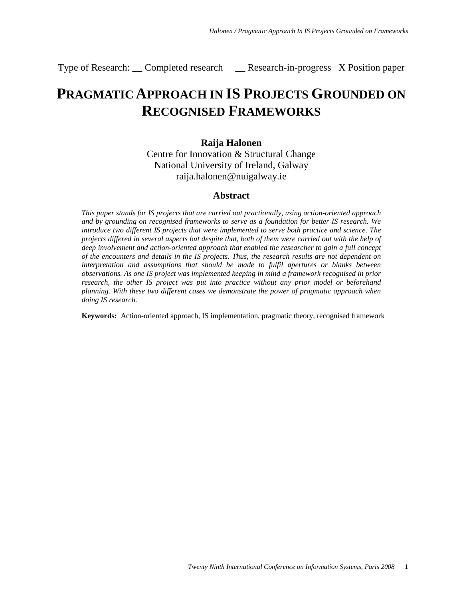Type of Research: \_\_ Completed research \_\_ Research-in-progress X Position paper

# **PRAGMATIC APPROACH IN IS PROJECTS GROUNDED ON RECOGNISED FRAMEWORKS**

### **Raija Halonen**

Centre for Innovation & Structural Change National University of Ireland, Galway raija.halonen@nuigalway.ie

#### **Abstract**

*This paper stands for IS projects that are carried out practionally, using action-oriented approach and by grounding on recognised frameworks to serve as a foundation for better IS research. We introduce two different IS projects that were implemented to serve both practice and science. The projects differed in several aspects but despite that, both of them were carried out with the help of deep involvement and action-oriented approach that enabled the researcher to gain a full concept of the encounters and details in the IS projects. Thus, the research results are not dependent on interpretation and assumptions that should be made to fulfil apertures or blanks between observations. As one IS project was implemented keeping in mind a framework recognised in prior research, the other IS project was put into practice without any prior model or beforehand planning. With these two different cases we demonstrate the power of pragmatic approach when doing IS research.*

**Keywords:** Action-oriented approach, IS implementation, pragmatic theory, recognised framework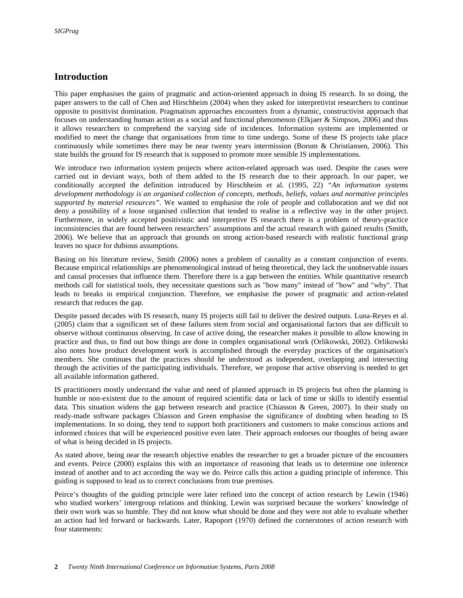# **Introduction**

This paper emphasises the gains of pragmatic and action-oriented approach in doing IS research. In so doing, the paper answers to the call of Chen and Hirschheim (2004) when they asked for interpretivist researchers to continue opposite to positivist domination. Pragmatism approaches encounters from a dynamic, constructivist approach that focuses on understanding human action as a social and functional phenomenon (Elkjaer & Simpson, 2006) and thus it allows researchers to comprehend the varying side of incidences. Information systems are implemented or modified to meet the change that organisations from time to time undergo. Some of these IS projects take place continuously while sometimes there may be near twenty years intermission (Borum & Christiansen, 2006). This state builds the ground for IS research that is supposed to promote more sensible IS implementations.

We introduce two information system projects where action-related approach was used. Despite the cases were carried out in deviant ways, both of them added to the IS research due to their approach. In our paper, we conditionally accepted the definition introduced by Hirschheim et al. (1995, 22) *"An information systems development methodology is an organised collection of concepts, methods, beliefs, values and normative principles supported by material resources"*. We wanted to emphasise the role of people and collaboration and we did not deny a possibility of a loose organised collection that tended to realise in a reflective way in the other project. Furthermore, in widely accepted positivistic and interpretive IS research there is a problem of theory-practice inconsistencies that are found between researchers' assumptions and the actual research with gained results (Smith, 2006). We believe that an approach that grounds on strong action-based research with realistic functional grasp leaves no space for dubious assumptions.

Basing on his literature review, Smith (2006) notes a problem of causality as a constant conjunction of events. Because empirical relationships are phenomenological instead of being theoretical, they lack the unobservable issues and causal processes that influence them. Therefore there is a gap between the entities. While quantitative research methods call for statistical tools, they necessitate questions such as "how many" instead of "how" and "why". That leads to breaks in empirical conjunction. Therefore, we emphasise the power of pragmatic and action-related research that reduces the gap.

Despite passed decades with IS research, many IS projects still fail to deliver the desired outputs. Luna-Reyes et al. (2005) claim that a significant set of these failures stem from social and organisational factors that are difficult to observe without continuous observing. In case of active doing, the researcher makes it possible to allow knowing in practice and thus, to find out how things are done in complex organisational work (Orlikowski, 2002). Orlikowski also notes how product development work is accomplished through the everyday practices of the organisation's members. She continues that the practices should be understood as independent, overlapping and intersecting through the activities of the participating individuals. Therefore, we propose that active observing is needed to get all available information gathered.

IS practitioners mostly understand the value and need of planned approach in IS projects but often the planning is humble or non-existent due to the amount of required scientific data or lack of time or skills to identify essential data. This situation widens the gap between research and practice (Chiasson & Green, 2007). In their study on ready-made software packages Chiasson and Green emphasise the significance of doubting when heading to IS implementations. In so doing, they tend to support both practitioners and customers to make conscious actions and informed choices that will be experienced positive even later. Their approach endorses our thoughts of being aware of what is being decided in IS projects.

As stated above, being near the research objective enables the researcher to get a broader picture of the encounters and events. Peirce (2000) explains this with an importance of reasoning that leads us to determine one inference instead of another and to act according the way we do. Peirce calls this action a guiding principle of inference. This guiding is supposed to lead us to correct conclusions from true premises.

Peirce's thoughts of the guiding principle were later refined into the concept of action research by Lewin (1946) who studied workers' intergroup relations and thinking. Lewin was surprised because the workers' knowledge of their own work was so humble. They did not know what should be done and they were not able to evaluate whether an action had led forward or backwards. Later, Rapoport (1970) defined the cornerstones of action research with four statements: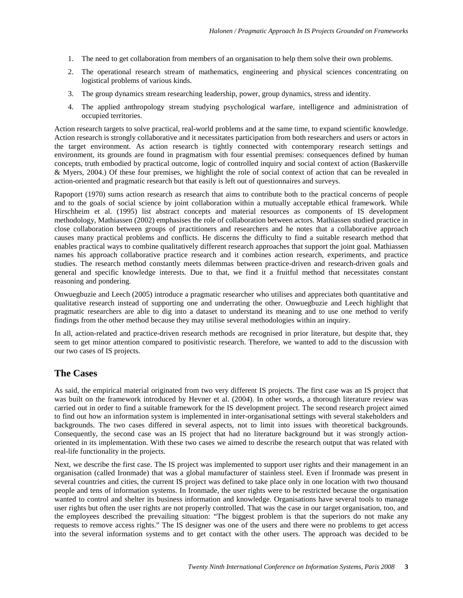- 1. The need to get collaboration from members of an organisation to help them solve their own problems.
- 2. The operational research stream of mathematics, engineering and physical sciences concentrating on logistical problems of various kinds.
- 3. The group dynamics stream researching leadership, power, group dynamics, stress and identity.
- 4. The applied anthropology stream studying psychological warfare, intelligence and administration of occupied territories.

Action research targets to solve practical, real-world problems and at the same time, to expand scientific knowledge. Action research is strongly collaborative and it necessitates participation from both researchers and users or actors in the target environment. As action research is tightly connected with contemporary research settings and environment, its grounds are found in pragmatism with four essential premises: consequences defined by human concepts, truth embodied by practical outcome, logic of controlled inquiry and social context of action (Baskerville & Myers, 2004.) Of these four premises, we highlight the role of social context of action that can be revealed in action-oriented and pragmatic research but that easily is left out of questionnaires and surveys.

Rapoport (1970) sums action research as research that aims to contribute both to the practical concerns of people and to the goals of social science by joint collaboration within a mutually acceptable ethical framework. While Hirschheim et al. (1995) list abstract concepts and material resources as components of IS development methodology, Mathiassen (2002) emphasises the role of collaboration between actors. Mathiassen studied practice in close collaboration between groups of practitioners and researchers and he notes that a collaborative approach causes many practical problems and conflicts. He discerns the difficulty to find a suitable research method that enables practical ways to combine qualitatively different research approaches that support the joint goal. Mathiassen names his approach collaborative practice research and it combines action research, experiments, and practice studies. The research method constantly meets dilemmas between practice-driven and research-driven goals and general and specific knowledge interests. Due to that, we find it a fruitful method that necessitates constant reasoning and pondering.

Onwuegbuzie and Leech (2005) introduce a pragmatic researcher who utilises and appreciates both quantitative and qualitative research instead of supporting one and underrating the other. Onwuegbuzie and Leech highlight that pragmatic researchers are able to dig into a dataset to understand its meaning and to use one method to verify findings from the other method because they may utilise several methodologies within an inquiry.

In all, action-related and practice-driven research methods are recognised in prior literature, but despite that, they seem to get minor attention compared to positivistic research. Therefore, we wanted to add to the discussion with our two cases of IS projects.

#### **The Cases**

As said, the empirical material originated from two very different IS projects. The first case was an IS project that was built on the framework introduced by Hevner et al. (2004). In other words, a thorough literature review was carried out in order to find a suitable framework for the IS development project. The second research project aimed to find out how an information system is implemented in inter-organisational settings with several stakeholders and backgrounds. The two cases differed in several aspects, not to limit into issues with theoretical backgrounds. Consequently, the second case was an IS project that had no literature background but it was strongly actionoriented in its implementation. With these two cases we aimed to describe the research output that was related with real-life functionality in the projects.

Next, we describe the first case. The IS project was implemented to support user rights and their management in an organisation (called Ironmade) that was a global manufacturer of stainless steel. Even if Ironmade was present in several countries and cities, the current IS project was defined to take place only in one location with two thousand people and tens of information systems. In Ironmade, the user rights were to be restricted because the organisation wanted to control and shelter its business information and knowledge. Organisations have several tools to manage user rights but often the user rights are not properly controlled. That was the case in our target organisation, too, and the employees described the prevailing situation: "The biggest problem is that the superiors do not make any requests to remove access rights." The IS designer was one of the users and there were no problems to get access into the several information systems and to get contact with the other users. The approach was decided to be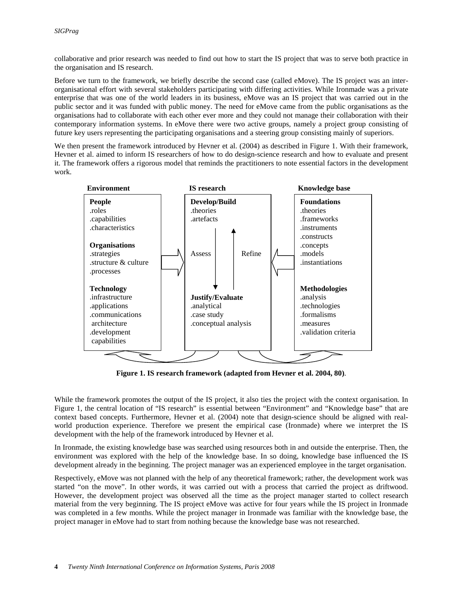collaborative and prior research was needed to find out how to start the IS project that was to serve both practice in the organisation and IS research.

Before we turn to the framework, we briefly describe the second case (called eMove). The IS project was an interorganisational effort with several stakeholders participating with differing activities. While Ironmade was a private enterprise that was one of the world leaders in its business, eMove was an IS project that was carried out in the public sector and it was funded with public money. The need for eMove came from the public organisations as the organisations had to collaborate with each other ever more and they could not manage their collaboration with their contemporary information systems. In eMove there were two active groups, namely a project group consisting of future key users representing the participating organisations and a steering group consisting mainly of superiors.

We then present the framework introduced by Hevner et al. (2004) as described in Figure 1. With their framework, Hevner et al. aimed to inform IS researchers of how to do design-science research and how to evaluate and present it. The framework offers a rigorous model that reminds the practitioners to note essential factors in the development work.



**Figure 1. IS research framework (adapted from Hevner et al. 2004, 80)**.

While the framework promotes the output of the IS project, it also ties the project with the context organisation. In Figure 1, the central location of "IS research" is essential between "Environment" and "Knowledge base" that are context based concepts. Furthermore, Hevner et al. (2004) note that design-science should be aligned with realworld production experience. Therefore we present the empirical case (Ironmade) where we interpret the IS development with the help of the framework introduced by Hevner et al.

In Ironmade, the existing knowledge base was searched using resources both in and outside the enterprise. Then, the environment was explored with the help of the knowledge base. In so doing, knowledge base influenced the IS development already in the beginning. The project manager was an experienced employee in the target organisation.

Respectively, eMove was not planned with the help of any theoretical framework; rather, the development work was started "on the move". In other words, it was carried out with a process that carried the project as driftwood. However, the development project was observed all the time as the project manager started to collect research material from the very beginning. The IS project eMove was active for four years while the IS project in Ironmade was completed in a few months. While the project manager in Ironmade was familiar with the knowledge base, the project manager in eMove had to start from nothing because the knowledge base was not researched.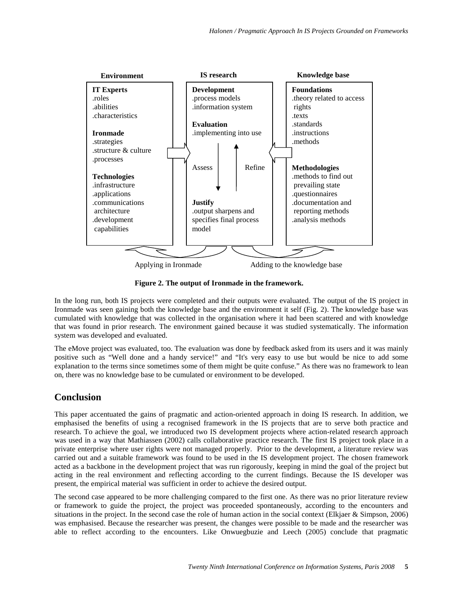

**Figure 2. The output of Ironmade in the framework.**

In the long run, both IS projects were completed and their outputs were evaluated. The output of the IS project in Ironmade was seen gaining both the knowledge base and the environment it self (Fig. 2). The knowledge base was cumulated with knowledge that was collected in the organisation where it had been scattered and with knowledge that was found in prior research. The environment gained because it was studied systematically. The information system was developed and evaluated.

The eMove project was evaluated, too. The evaluation was done by feedback asked from its users and it was mainly positive such as "Well done and a handy service!" and "It's very easy to use but would be nice to add some explanation to the terms since sometimes some of them might be quite confuse." As there was no framework to lean on, there was no knowledge base to be cumulated or environment to be developed.

## **Conclusion**

This paper accentuated the gains of pragmatic and action-oriented approach in doing IS research. In addition, we emphasised the benefits of using a recognised framework in the IS projects that are to serve both practice and research. To achieve the goal, we introduced two IS development projects where action-related research approach was used in a way that Mathiassen (2002) calls collaborative practice research. The first IS project took place in a private enterprise where user rights were not managed properly. Prior to the development, a literature review was carried out and a suitable framework was found to be used in the IS development project. The chosen framework acted as a backbone in the development project that was run rigorously, keeping in mind the goal of the project but acting in the real environment and reflecting according to the current findings. Because the IS developer was present, the empirical material was sufficient in order to achieve the desired output.

The second case appeared to be more challenging compared to the first one. As there was no prior literature review or framework to guide the project, the project was proceeded spontaneously, according to the encounters and situations in the project. In the second case the role of human action in the social context (Elkjaer & Simpson, 2006) was emphasised. Because the researcher was present, the changes were possible to be made and the researcher was able to reflect according to the encounters. Like Onwuegbuzie and Leech (2005) conclude that pragmatic